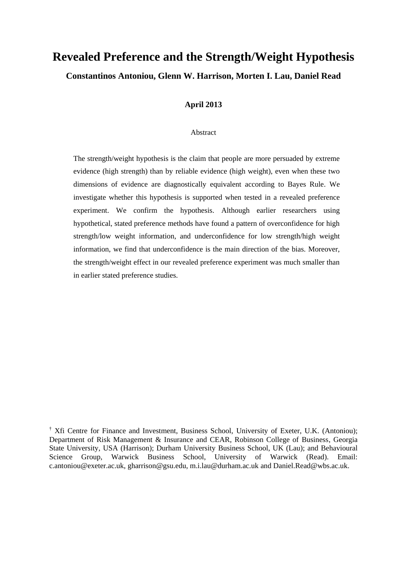# **Revealed Preference and the Strength/Weight Hypothesis**

# **Constantinos Antoniou, Glenn W. Harrison, Morten I. Lau, Daniel Read**

# **April 2013**

## Abstract

The strength/weight hypothesis is the claim that people are more persuaded by extreme evidence (high strength) than by reliable evidence (high weight), even when these two dimensions of evidence are diagnostically equivalent according to Bayes Rule. We investigate whether this hypothesis is supported when tested in a revealed preference experiment. We confirm the hypothesis. Although earlier researchers using hypothetical, stated preference methods have found a pattern of overconfidence for high strength/low weight information, and underconfidence for low strength/high weight information, we find that underconfidence is the main direction of the bias. Moreover, the strength/weight effect in our revealed preference experiment was much smaller than in earlier stated preference studies.

<sup>†</sup> Xfi Centre for Finance and Investment, Business School, University of Exeter, U.K. (Antoniou); Department of Risk Management & Insurance and CEAR, Robinson College of Business, Georgia State University, USA (Harrison); Durham University Business School, UK (Lau); and Behavioural Science Group, Warwick Business School, University of Warwick (Read). Email: c.antoniou@exeter.ac.uk, gharrison@gsu.edu, m.i.lau@durham.ac.uk and Daniel.Read@wbs.ac.uk.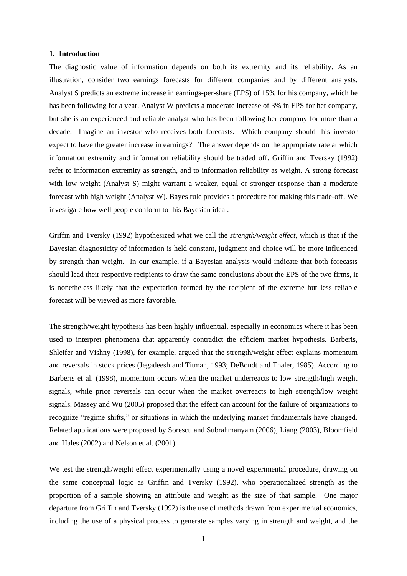#### **1. Introduction**

The diagnostic value of information depends on both its extremity and its reliability. As an illustration, consider two earnings forecasts for different companies and by different analysts. Analyst S predicts an extreme increase in earnings-per-share (EPS) of 15% for his company, which he has been following for a year. Analyst W predicts a moderate increase of 3% in EPS for her company, but she is an experienced and reliable analyst who has been following her company for more than a decade. Imagine an investor who receives both forecasts. Which company should this investor expect to have the greater increase in earnings? The answer depends on the appropriate rate at which information extremity and information reliability should be traded off. Griffin and Tversky (1992) refer to information extremity as strength, and to information reliability as weight. A strong forecast with low weight (Analyst S) might warrant a weaker, equal or stronger response than a moderate forecast with high weight (Analyst W). Bayes rule provides a procedure for making this trade-off. We investigate how well people conform to this Bayesian ideal.

Griffin and Tversky (1992) hypothesized what we call the *strength/weight effect*, which is that if the Bayesian diagnosticity of information is held constant, judgment and choice will be more influenced by strength than weight. In our example, if a Bayesian analysis would indicate that both forecasts should lead their respective recipients to draw the same conclusions about the EPS of the two firms, it is nonetheless likely that the expectation formed by the recipient of the extreme but less reliable forecast will be viewed as more favorable.

The strength/weight hypothesis has been highly influential, especially in economics where it has been used to interpret phenomena that apparently contradict the efficient market hypothesis. Barberis, Shleifer and Vishny (1998), for example, argued that the strength/weight effect explains momentum and reversals in stock prices (Jegadeesh and Titman, 1993; DeBondt and Thaler, 1985). According to Barberis et al. (1998), momentum occurs when the market underreacts to low strength/high weight signals, while price reversals can occur when the market overreacts to high strength/low weight signals. Massey and Wu (2005) proposed that the effect can account for the failure of organizations to recognize "regime shifts," or situations in which the underlying market fundamentals have changed. Related applications were proposed by Sorescu and Subrahmanyam (2006), Liang (2003), Bloomfield and Hales (2002) and Nelson et al. (2001).

We test the strength/weight effect experimentally using a novel experimental procedure, drawing on the same conceptual logic as Griffin and Tversky (1992), who operationalized strength as the proportion of a sample showing an attribute and weight as the size of that sample. One major departure from Griffin and Tversky (1992) is the use of methods drawn from experimental economics, including the use of a physical process to generate samples varying in strength and weight, and the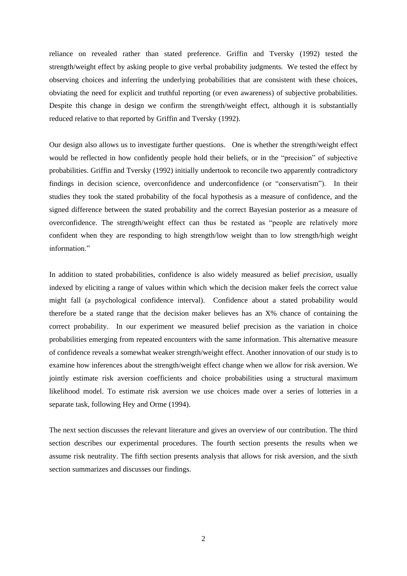reliance on revealed rather than stated preference. Griffin and Tversky (1992) tested the strength/weight effect by asking people to give verbal probability judgments. We tested the effect by observing choices and inferring the underlying probabilities that are consistent with these choices, obviating the need for explicit and truthful reporting (or even awareness) of subjective probabilities. Despite this change in design we confirm the strength/weight effect, although it is substantially reduced relative to that reported by Griffin and Tversky (1992).

Our design also allows us to investigate further questions. One is whether the strength/weight effect would be reflected in how confidently people hold their beliefs, or in the "precision" of subjective probabilities. Griffin and Tversky (1992) initially undertook to reconcile two apparently contradictory findings in decision science, overconfidence and underconfidence (or "conservatism"). In their studies they took the stated probability of the focal hypothesis as a measure of confidence, and the signed difference between the stated probability and the correct Bayesian posterior as a measure of overconfidence. The strength/weight effect can thus be restated as "people are relatively more confident when they are responding to high strength/low weight than to low strength/high weight information"

In addition to stated probabilities, confidence is also widely measured as belief *precision*, usually indexed by eliciting a range of values within which which the decision maker feels the correct value might fall (a psychological confidence interval). Confidence about a stated probability would therefore be a stated range that the decision maker believes has an X% chance of containing the correct probability. In our experiment we measured belief precision as the variation in choice probabilities emerging from repeated encounters with the same information. This alternative measure of confidence reveals a somewhat weaker strength/weight effect. Another innovation of our study is to examine how inferences about the strength/weight effect change when we allow for risk aversion. We jointly estimate risk aversion coefficients and choice probabilities using a structural maximum likelihood model. To estimate risk aversion we use choices made over a series of lotteries in a separate task, following Hey and Orme (1994).

The next section discusses the relevant literature and gives an overview of our contribution. The third section describes our experimental procedures. The fourth section presents the results when we assume risk neutrality. The fifth section presents analysis that allows for risk aversion, and the sixth section summarizes and discusses our findings.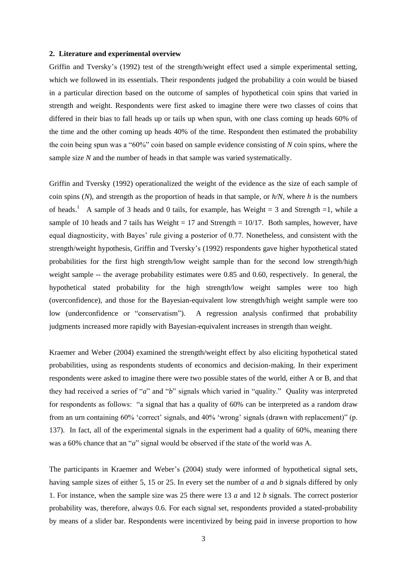#### **2. Literature and experimental overview**

Griffin and Tversky's (1992) test of the strength/weight effect used a simple experimental setting, which we followed in its essentials. Their respondents judged the probability a coin would be biased in a particular direction based on the outcome of samples of hypothetical coin spins that varied in strength and weight. Respondents were first asked to imagine there were two classes of coins that differed in their bias to fall heads up or tails up when spun, with one class coming up heads 60% of the time and the other coming up heads 40% of the time. Respondent then estimated the probability the coin being spun was a "60%" coin based on sample evidence consisting of *N* coin spins, where the sample size *N* and the number of heads in that sample was varied systematically.

Griffin and Tversky (1992) operationalized the weight of the evidence as the size of each sample of coin spins (*N*), and strength as the proportion of heads in that sample, or *h/N*, where *h* is the numbers of heads.<sup>1</sup> A sample of 3 heads and 0 tails, for example, has Weight = 3 and Strength =1, while a sample of 10 heads and 7 tails has Weight = 17 and Strength =  $10/17$ . Both samples, however, have equal diagnosticity, with Bayes' rule giving a posterior of 0.77. Nonetheless, and consistent with the strength/weight hypothesis, Griffin and Tversky's (1992) respondents gave higher hypothetical stated probabilities for the first high strength/low weight sample than for the second low strength/high weight sample -- the average probability estimates were 0.85 and 0.60, respectively. In general, the hypothetical stated probability for the high strength/low weight samples were too high (overconfidence), and those for the Bayesian-equivalent low strength/high weight sample were too low (underconfidence or "conservatism"). A regression analysis confirmed that probability judgments increased more rapidly with Bayesian-equivalent increases in strength than weight.

Kraemer and Weber (2004) examined the strength/weight effect by also eliciting hypothetical stated probabilities, using as respondents students of economics and decision-making. In their experiment respondents were asked to imagine there were two possible states of the world, either A or B, and that they had received a series of "*a*" and "*b*" signals which varied in "quality." Quality was interpreted for respondents as follows: "a signal that has a quality of 60% can be interpreted as a random draw from an urn containing 60% 'correct' signals, and 40% 'wrong' signals (drawn with replacement)" (p. 137). In fact, all of the experimental signals in the experiment had a quality of 60%, meaning there was a 60% chance that an "*a*" signal would be observed if the state of the world was A.

The participants in Kraemer and Weber's (2004) study were informed of hypothetical signal sets, having sample sizes of either 5, 15 or 25. In every set the number of *a* and *b* signals differed by only 1. For instance, when the sample size was 25 there were 13 *a* and 12 *b* signals. The correct posterior probability was, therefore, always 0.6. For each signal set, respondents provided a stated-probability by means of a slider bar. Respondents were incentivized by being paid in inverse proportion to how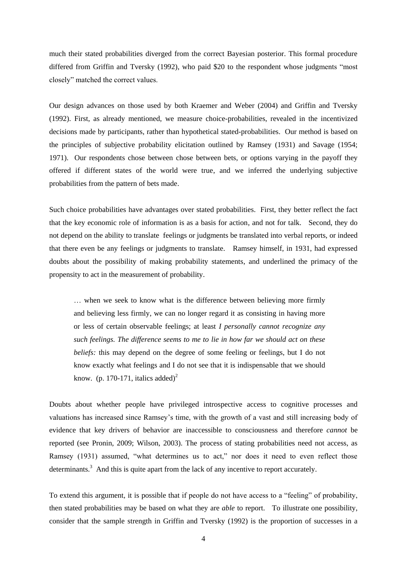much their stated probabilities diverged from the correct Bayesian posterior. This formal procedure differed from Griffin and Tversky (1992), who paid \$20 to the respondent whose judgments "most closely" matched the correct values.

Our design advances on those used by both Kraemer and Weber (2004) and Griffin and Tversky (1992). First, as already mentioned, we measure choice-probabilities, revealed in the incentivized decisions made by participants, rather than hypothetical stated-probabilities. Our method is based on the principles of subjective probability elicitation outlined by Ramsey (1931) and Savage (1954; 1971). Our respondents chose between chose between bets, or options varying in the payoff they offered if different states of the world were true, and we inferred the underlying subjective probabilities from the pattern of bets made.

Such choice probabilities have advantages over stated probabilities. First, they better reflect the fact that the key economic role of information is as a basis for action, and not for talk. Second, they do not depend on the ability to translate feelings or judgments be translated into verbal reports, or indeed that there even be any feelings or judgments to translate. Ramsey himself, in 1931, had expressed doubts about the possibility of making probability statements, and underlined the primacy of the propensity to act in the measurement of probability.

… when we seek to know what is the difference between believing more firmly and believing less firmly, we can no longer regard it as consisting in having more or less of certain observable feelings; at least *I personally cannot recognize any such feelings. The difference seems to me to lie in how far we should act on these beliefs:* this may depend on the degree of some feeling or feelings, but I do not know exactly what feelings and I do not see that it is indispensable that we should know. (p. 170-171, italics added)<sup>2</sup>

Doubts about whether people have privileged introspective access to cognitive processes and valuations has increased since Ramsey's time, with the growth of a vast and still increasing body of evidence that key drivers of behavior are inaccessible to consciousness and therefore *cannot* be reported (see Pronin, 2009; Wilson, 2003). The process of stating probabilities need not access, as Ramsey (1931) assumed, "what determines us to act," nor does it need to even reflect those determinants.<sup>3</sup> And this is quite apart from the lack of any incentive to report accurately.

To extend this argument, it is possible that if people do not have access to a "feeling" of probability, then stated probabilities may be based on what they are *able* to report. To illustrate one possibility, consider that the sample strength in Griffin and Tversky (1992) is the proportion of successes in a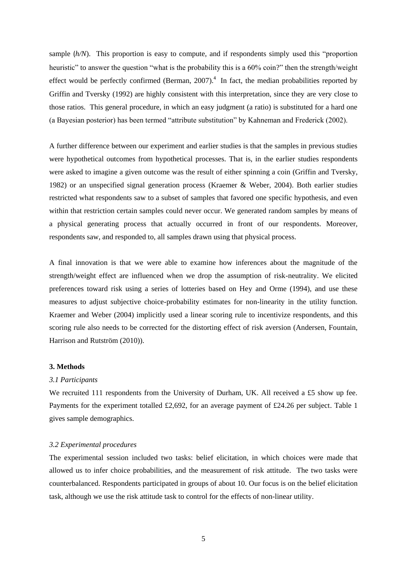sample ( $h/N$ ). This proportion is easy to compute, and if respondents simply used this "proportion" heuristic" to answer the question "what is the probability this is a 60% coin?" then the strength/weight effect would be perfectly confirmed (Berman,  $2007$ ).<sup>4</sup> In fact, the median probabilities reported by Griffin and Tversky (1992) are highly consistent with this interpretation, since they are very close to those ratios. This general procedure, in which an easy judgment (a ratio) is substituted for a hard one (a Bayesian posterior) has been termed "attribute substitution" by Kahneman and Frederick (2002).

A further difference between our experiment and earlier studies is that the samples in previous studies were hypothetical outcomes from hypothetical processes. That is, in the earlier studies respondents were asked to imagine a given outcome was the result of either spinning a coin (Griffin and Tversky, 1982) or an unspecified signal generation process (Kraemer & Weber, 2004). Both earlier studies restricted what respondents saw to a subset of samples that favored one specific hypothesis, and even within that restriction certain samples could never occur. We generated random samples by means of a physical generating process that actually occurred in front of our respondents. Moreover, respondents saw, and responded to, all samples drawn using that physical process.

A final innovation is that we were able to examine how inferences about the magnitude of the strength/weight effect are influenced when we drop the assumption of risk-neutrality. We elicited preferences toward risk using a series of lotteries based on Hey and Orme (1994), and use these measures to adjust subjective choice-probability estimates for non-linearity in the utility function. Kraemer and Weber (2004) implicitly used a linear scoring rule to incentivize respondents, and this scoring rule also needs to be corrected for the distorting effect of risk aversion (Andersen, Fountain, Harrison and Rutström (2010)).

#### **3. Methods**

#### *3.1 Participants*

We recruited 111 respondents from the University of Durham, UK. All received a £5 show up fee. Payments for the experiment totalled £2,692, for an average payment of £24.26 per subject. Table 1 gives sample demographics.

## *3.2 Experimental procedures*

The experimental session included two tasks: belief elicitation, in which choices were made that allowed us to infer choice probabilities, and the measurement of risk attitude. The two tasks were counterbalanced. Respondents participated in groups of about 10. Our focus is on the belief elicitation task, although we use the risk attitude task to control for the effects of non-linear utility.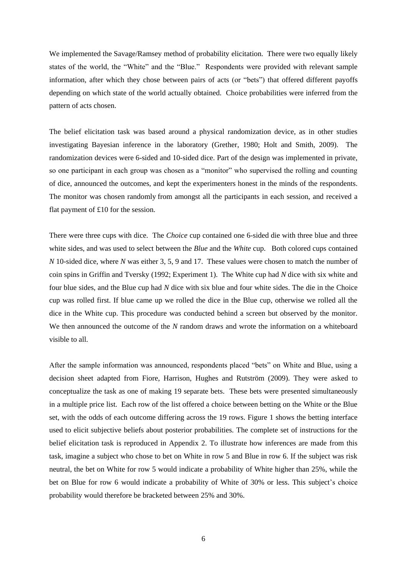We implemented the Savage/Ramsey method of probability elicitation. There were two equally likely states of the world, the "White" and the "Blue." Respondents were provided with relevant sample information, after which they chose between pairs of acts (or "bets") that offered different payoffs depending on which state of the world actually obtained. Choice probabilities were inferred from the pattern of acts chosen.

The belief elicitation task was based around a physical randomization device, as in other studies investigating Bayesian inference in the laboratory (Grether, 1980; Holt and Smith, 2009). The randomization devices were 6-sided and 10-sided dice. Part of the design was implemented in private, so one participant in each group was chosen as a "monitor" who supervised the rolling and counting of dice, announced the outcomes, and kept the experimenters honest in the minds of the respondents. The monitor was chosen randomly from amongst all the participants in each session, and received a flat payment of £10 for the session.

There were three cups with dice. The *Choice* cup contained one 6-sided die with three blue and three white sides, and was used to select between the *Blue* and the *White* cup. Both colored cups contained *N* 10-sided dice, where *N* was either 3, 5, 9 and 17. These values were chosen to match the number of coin spins in Griffin and Tversky (1992; Experiment 1). The White cup had *N* dice with six white and four blue sides, and the Blue cup had *N* dice with six blue and four white sides. The die in the Choice cup was rolled first. If blue came up we rolled the dice in the Blue cup, otherwise we rolled all the dice in the White cup. This procedure was conducted behind a screen but observed by the monitor. We then announced the outcome of the N random draws and wrote the information on a whiteboard visible to all.

After the sample information was announced, respondents placed "bets" on White and Blue, using a decision sheet adapted from Fiore, Harrison, Hughes and Rutström (2009). They were asked to conceptualize the task as one of making 19 separate bets. These bets were presented simultaneously in a multiple price list. Each row of the list offered a choice between betting on the White or the Blue set, with the odds of each outcome differing across the 19 rows. Figure 1 shows the betting interface used to elicit subjective beliefs about posterior probabilities. The complete set of instructions for the belief elicitation task is reproduced in Appendix 2. To illustrate how inferences are made from this task, imagine a subject who chose to bet on White in row 5 and Blue in row 6. If the subject was risk neutral, the bet on White for row 5 would indicate a probability of White higher than 25%, while the bet on Blue for row 6 would indicate a probability of White of 30% or less. This subject's choice probability would therefore be bracketed between 25% and 30%.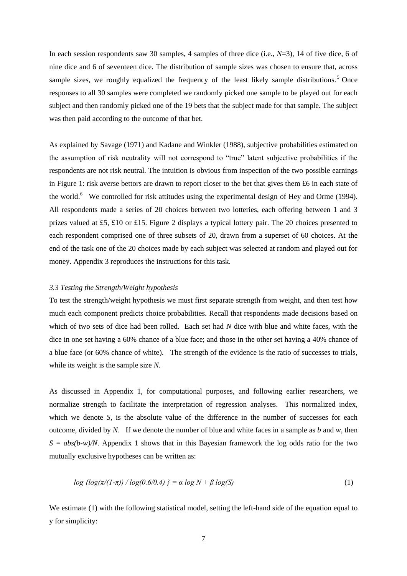In each session respondents saw 30 samples, 4 samples of three dice (i.e., *N*=3), 14 of five dice, 6 of nine dice and 6 of seventeen dice. The distribution of sample sizes was chosen to ensure that, across sample sizes, we roughly equalized the frequency of the least likely sample distributions.<sup>5</sup> Once responses to all 30 samples were completed we randomly picked one sample to be played out for each subject and then randomly picked one of the 19 bets that the subject made for that sample. The subject was then paid according to the outcome of that bet.

As explained by Savage (1971) and Kadane and Winkler (1988), subjective probabilities estimated on the assumption of risk neutrality will not correspond to "true" latent subjective probabilities if the respondents are not risk neutral. The intuition is obvious from inspection of the two possible earnings in Figure 1: risk averse bettors are drawn to report closer to the bet that gives them £6 in each state of the world. $6$  We controlled for risk attitudes using the experimental design of Hey and Orme (1994). All respondents made a series of 20 choices between two lotteries, each offering between 1 and 3 prizes valued at £5, £10 or £15. Figure 2 displays a typical lottery pair. The 20 choices presented to each respondent comprised one of three subsets of 20, drawn from a superset of 60 choices. At the end of the task one of the 20 choices made by each subject was selected at random and played out for money. Appendix 3 reproduces the instructions for this task.

### *3.3 Testing the Strength/Weight hypothesis*

To test the strength/weight hypothesis we must first separate strength from weight, and then test how much each component predicts choice probabilities. Recall that respondents made decisions based on which of two sets of dice had been rolled. Each set had *N* dice with blue and white faces, with the dice in one set having a 60% chance of a blue face; and those in the other set having a 40% chance of a blue face (or 60% chance of white). The strength of the evidence is the ratio of successes to trials, while its weight is the sample size *N*.

As discussed in Appendix 1, for computational purposes, and following earlier researchers, we normalize strength to facilitate the interpretation of regression analyses. This normalized index, which we denote *S*, is the absolute value of the difference in the number of successes for each outcome, divided by *N*. If we denote the number of blue and white faces in a sample as *b* and *w*, then  $S = abs(b-w)/N$ . Appendix 1 shows that in this Bayesian framework the log odds ratio for the two mutually exclusive hypotheses can be written as:

$$
\log \{ \log(\pi/(1-\pi)) / \log(0.6/0.4) \} = \alpha \log N + \beta \log(S)
$$
\n(1)

We estimate (1) with the following statistical model, setting the left-hand side of the equation equal to y for simplicity: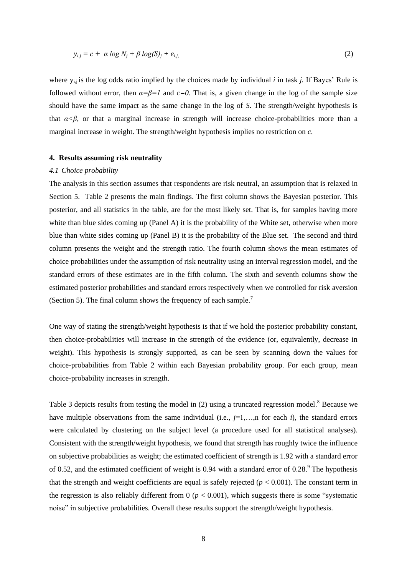$$
y_{i,j} = c + \alpha \log N_j + \beta \log(S_j) + e_{i,j}, \tag{2}
$$

where  $y_{i,j}$  is the log odds ratio implied by the choices made by individual *i* in task *j*. If Bayes' Rule is followed without error, then  $\alpha = \beta = 1$  and  $c = 0$ . That is, a given change in the log of the sample size should have the same impact as the same change in the log of *S*. The strength/weight hypothesis is that  $\alpha < \beta$ , or that a marginal increase in strength will increase choice-probabilities more than a marginal increase in weight. The strength/weight hypothesis implies no restriction on *c*.

## **4. Results assuming risk neutrality**

#### *4.1 Choice probability*

The analysis in this section assumes that respondents are risk neutral, an assumption that is relaxed in Section 5. Table 2 presents the main findings. The first column shows the Bayesian posterior. This posterior, and all statistics in the table, are for the most likely set. That is, for samples having more white than blue sides coming up (Panel A) it is the probability of the White set, otherwise when more blue than white sides coming up (Panel B) it is the probability of the Blue set. The second and third column presents the weight and the strength ratio. The fourth column shows the mean estimates of choice probabilities under the assumption of risk neutrality using an interval regression model, and the standard errors of these estimates are in the fifth column. The sixth and seventh columns show the estimated posterior probabilities and standard errors respectively when we controlled for risk aversion (Section 5). The final column shows the frequency of each sample.<sup>7</sup>

One way of stating the strength/weight hypothesis is that if we hold the posterior probability constant, then choice-probabilities will increase in the strength of the evidence (or, equivalently, decrease in weight). This hypothesis is strongly supported, as can be seen by scanning down the values for choice-probabilities from Table 2 within each Bayesian probability group. For each group, mean choice-probability increases in strength.

Table 3 depicts results from testing the model in (2) using a truncated regression model.<sup>8</sup> Because we have multiple observations from the same individual (i.e.,  $j=1,...,n$  for each *i*), the standard errors were calculated by clustering on the subject level (a procedure used for all statistical analyses). Consistent with the strength/weight hypothesis, we found that strength has roughly twice the influence on subjective probabilities as weight; the estimated coefficient of strength is 1.92 with a standard error of 0.52, and the estimated coefficient of weight is 0.94 with a standard error of 0.28.<sup>9</sup> The hypothesis that the strength and weight coefficients are equal is safely rejected  $(p < 0.001)$ . The constant term in the regression is also reliably different from  $0 (p < 0.001)$ , which suggests there is some "systematic" noise" in subjective probabilities. Overall these results support the strength/weight hypothesis.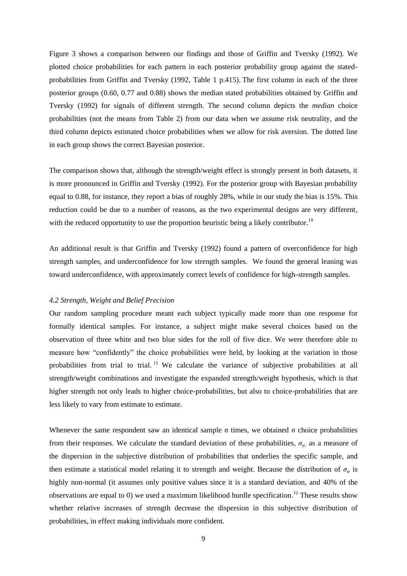Figure 3 shows a comparison between our findings and those of Griffin and Tversky (1992). We plotted choice probabilities for each pattern in each posterior probability group against the statedprobabilities from Griffin and Tversky (1992, Table 1 p.415). The first column in each of the three posterior groups (0.60, 0.77 and 0.88) shows the median stated probabilities obtained by Griffin and Tversky (1992) for signals of different strength. The second column depicts the *median* choice probabilities (not the means from Table 2) from our data when we assume risk neutrality, and the third column depicts estimated choice probabilities when we allow for risk aversion. The dotted line in each group shows the correct Bayesian posterior.

The comparison shows that, although the strength/weight effect is strongly present in both datasets, it is more pronounced in Griffin and Tversky (1992). For the posterior group with Bayesian probability equal to 0.88, for instance, they report a bias of roughly 28%, while in our study the bias is 15%. This reduction could be due to a number of reasons, as the two experimental designs are very different, with the reduced opportunity to use the proportion heuristic being a likely contributor.<sup>10</sup>

An additional result is that Griffin and Tversky (1992) found a pattern of overconfidence for high strength samples, and underconfidence for low strength samples. We found the general leaning was toward underconfidence, with approximately correct levels of confidence for high-strength samples.

#### *4.2 Strength, Weight and Belief Precision*

Our random sampling procedure meant each subject typically made more than one response for formally identical samples. For instance, a subject might make several choices based on the observation of three white and two blue sides for the roll of five dice. We were therefore able to measure how "confidently" the choice probabilities were held, by looking at the variation in those probabilities from trial to trial.<sup>11</sup> We calculate the variance of subjective probabilities at all strength/weight combinations and investigate the expanded strength/weight hypothesis, which is that higher strength not only leads to higher choice-probabilities, but also to choice-probabilities that are less likely to vary from estimate to estimate.

Whenever the same respondent saw an identical sample *n* times, we obtained *n* choice probabilities from their responses. We calculate the standard deviation of these probabilities,  $\sigma_{\psi}$ , as a measure of the dispersion in the subjective distribution of probabilities that underlies the specific sample, and then estimate a statistical model relating it to strength and weight. Because the distribution of  $\sigma_{\psi}$  is highly non-normal (it assumes only positive values since it is a standard deviation, and 40% of the observations are equal to 0) we used a maximum likelihood hurdle specification.<sup>12</sup> These results show whether relative increases of strength decrease the dispersion in this subjective distribution of probabilities, in effect making individuals more confident.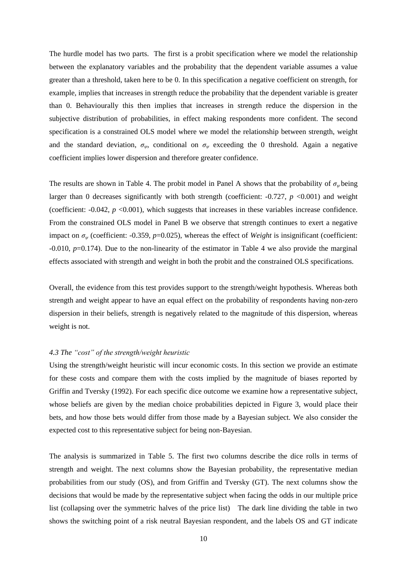The hurdle model has two parts. The first is a probit specification where we model the relationship between the explanatory variables and the probability that the dependent variable assumes a value greater than a threshold, taken here to be 0. In this specification a negative coefficient on strength, for example, implies that increases in strength reduce the probability that the dependent variable is greater than 0. Behaviourally this then implies that increases in strength reduce the dispersion in the subjective distribution of probabilities, in effect making respondents more confident. The second specification is a constrained OLS model where we model the relationship between strength, weight and the standard deviation,  $\sigma_{\psi}$ , conditional on  $\sigma_{\psi}$  exceeding the 0 threshold. Again a negative coefficient implies lower dispersion and therefore greater confidence.

The results are shown in Table 4. The probit model in Panel A shows that the probability of  $\sigma_{\psi}$  being larger than 0 decreases significantly with both strength (coefficient:  $-0.727$ ,  $p < 0.001$ ) and weight (coefficient:  $-0.042$ ,  $p \le 0.001$ ), which suggests that increases in these variables increase confidence. From the constrained OLS model in Panel B we observe that strength continues to exert a negative impact on  $\sigma_w$  (coefficient: -0.359, *p*=0.025), whereas the effect of *Weight* is insignificant (coefficient: -0.010, *p*=0.174). Due to the non-linearity of the estimator in Table 4 we also provide the marginal effects associated with strength and weight in both the probit and the constrained OLS specifications.

Overall, the evidence from this test provides support to the strength/weight hypothesis. Whereas both strength and weight appear to have an equal effect on the probability of respondents having non-zero dispersion in their beliefs, strength is negatively related to the magnitude of this dispersion, whereas weight is not.

## *4.3 The "cost" of the strength/weight heuristic*

Using the strength/weight heuristic will incur economic costs. In this section we provide an estimate for these costs and compare them with the costs implied by the magnitude of biases reported by Griffin and Tversky (1992). For each specific dice outcome we examine how a representative subject, whose beliefs are given by the median choice probabilities depicted in Figure 3, would place their bets, and how those bets would differ from those made by a Bayesian subject. We also consider the expected cost to this representative subject for being non-Bayesian.

The analysis is summarized in Table 5. The first two columns describe the dice rolls in terms of strength and weight. The next columns show the Bayesian probability, the representative median probabilities from our study (OS), and from Griffin and Tversky (GT). The next columns show the decisions that would be made by the representative subject when facing the odds in our multiple price list (collapsing over the symmetric halves of the price list) The dark line dividing the table in two shows the switching point of a risk neutral Bayesian respondent, and the labels OS and GT indicate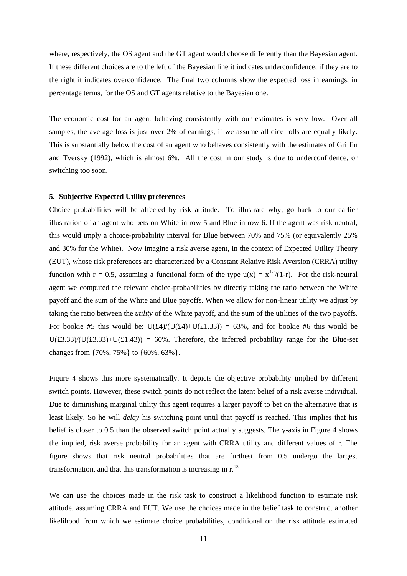where, respectively, the OS agent and the GT agent would choose differently than the Bayesian agent. If these different choices are to the left of the Bayesian line it indicates underconfidence, if they are to the right it indicates overconfidence. The final two columns show the expected loss in earnings, in percentage terms, for the OS and GT agents relative to the Bayesian one.

The economic cost for an agent behaving consistently with our estimates is very low. Over all samples, the average loss is just over 2% of earnings, if we assume all dice rolls are equally likely. This is substantially below the cost of an agent who behaves consistently with the estimates of Griffin and Tversky (1992), which is almost 6%. All the cost in our study is due to underconfidence, or switching too soon.

## **5. Subjective Expected Utility preferences**

Choice probabilities will be affected by risk attitude. To illustrate why, go back to our earlier illustration of an agent who bets on White in row 5 and Blue in row 6. If the agent was risk neutral, this would imply a choice-probability interval for Blue between 70% and 75% (or equivalently 25% and 30% for the White). Now imagine a risk averse agent, in the context of Expected Utility Theory (EUT), whose risk preferences are characterized by a Constant Relative Risk Aversion (CRRA) utility function with  $r = 0.5$ , assuming a functional form of the type  $u(x) = x^{1-r}/(1-r)$ . For the risk-neutral agent we computed the relevant choice-probabilities by directly taking the ratio between the White payoff and the sum of the White and Blue payoffs. When we allow for non-linear utility we adjust by taking the ratio between the *utility* of the White payoff, and the sum of the utilities of the two payoffs. For bookie #5 this would be:  $U(f4)/(U(f4)+U(f1.33)) = 63\%$ , and for bookie #6 this would be  $U(\text{\pounds}3.33)/(U(\text{\pounds}3.33)+U(\text{\pounds}1.43)) = 60\%$ . Therefore, the inferred probability range for the Blue-set changes from {70%, 75%} to {60%, 63%}.

Figure 4 shows this more systematically. It depicts the objective probability implied by different switch points. However, these switch points do not reflect the latent belief of a risk averse individual. Due to diminishing marginal utility this agent requires a larger payoff to bet on the alternative that is least likely. So he will *delay* his switching point until that payoff is reached. This implies that his belief is closer to 0.5 than the observed switch point actually suggests. The y-axis in Figure 4 shows the implied, risk averse probability for an agent with CRRA utility and different values of r. The figure shows that risk neutral probabilities that are furthest from 0.5 undergo the largest transformation, and that this transformation is increasing in  $r<sup>13</sup>$ .

We can use the choices made in the risk task to construct a likelihood function to estimate risk attitude, assuming CRRA and EUT. We use the choices made in the belief task to construct another likelihood from which we estimate choice probabilities, conditional on the risk attitude estimated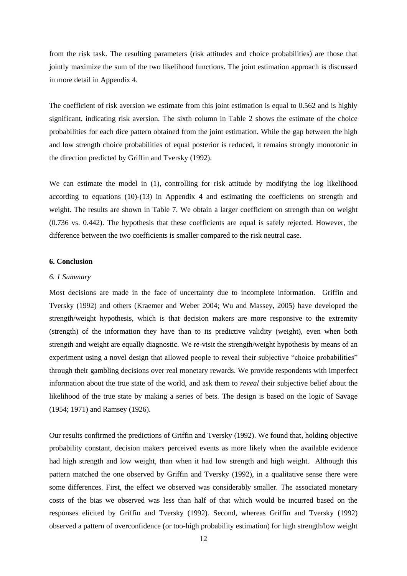from the risk task. The resulting parameters (risk attitudes and choice probabilities) are those that jointly maximize the sum of the two likelihood functions. The joint estimation approach is discussed in more detail in Appendix 4.

The coefficient of risk aversion we estimate from this joint estimation is equal to 0.562 and is highly significant, indicating risk aversion. The sixth column in Table 2 shows the estimate of the choice probabilities for each dice pattern obtained from the joint estimation. While the gap between the high and low strength choice probabilities of equal posterior is reduced, it remains strongly monotonic in the direction predicted by Griffin and Tversky (1992).

We can estimate the model in (1)*,* controlling for risk attitude by modifying the log likelihood according to equations (10)-(13) in Appendix 4 and estimating the coefficients on strength and weight. The results are shown in Table 7. We obtain a larger coefficient on strength than on weight (0.736 vs. 0.442). The hypothesis that these coefficients are equal is safely rejected. However, the difference between the two coefficients is smaller compared to the risk neutral case.

## **6. Conclusion**

## *6. 1 Summary*

Most decisions are made in the face of uncertainty due to incomplete information. Griffin and Tversky (1992) and others (Kraemer and Weber 2004; Wu and Massey, 2005) have developed the strength/weight hypothesis, which is that decision makers are more responsive to the extremity (strength) of the information they have than to its predictive validity (weight), even when both strength and weight are equally diagnostic. We re-visit the strength/weight hypothesis by means of an experiment using a novel design that allowed people to reveal their subjective "choice probabilities" through their gambling decisions over real monetary rewards. We provide respondents with imperfect information about the true state of the world, and ask them to *reveal* their subjective belief about the likelihood of the true state by making a series of bets. The design is based on the logic of Savage (1954; 1971) and Ramsey (1926).

Our results confirmed the predictions of Griffin and Tversky (1992). We found that, holding objective probability constant, decision makers perceived events as more likely when the available evidence had high strength and low weight, than when it had low strength and high weight. Although this pattern matched the one observed by Griffin and Tversky (1992), in a qualitative sense there were some differences. First, the effect we observed was considerably smaller. The associated monetary costs of the bias we observed was less than half of that which would be incurred based on the responses elicited by Griffin and Tversky (1992). Second, whereas Griffin and Tversky (1992) observed a pattern of overconfidence (or too-high probability estimation) for high strength/low weight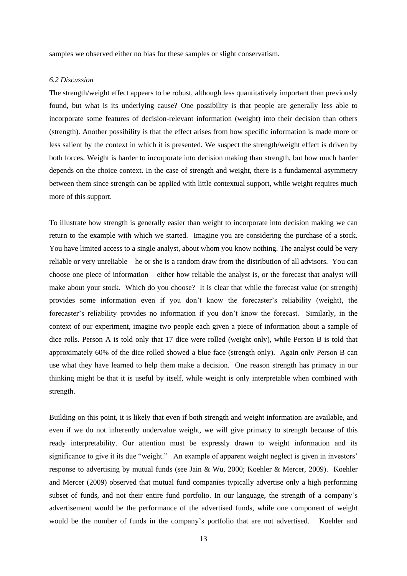samples we observed either no bias for these samples or slight conservatism.

## *6.2 Discussion*

The strength/weight effect appears to be robust, although less quantitatively important than previously found, but what is its underlying cause? One possibility is that people are generally less able to incorporate some features of decision-relevant information (weight) into their decision than others (strength). Another possibility is that the effect arises from how specific information is made more or less salient by the context in which it is presented. We suspect the strength/weight effect is driven by both forces. Weight is harder to incorporate into decision making than strength, but how much harder depends on the choice context. In the case of strength and weight, there is a fundamental asymmetry between them since strength can be applied with little contextual support, while weight requires much more of this support.

To illustrate how strength is generally easier than weight to incorporate into decision making we can return to the example with which we started. Imagine you are considering the purchase of a stock. You have limited access to a single analyst, about whom you know nothing. The analyst could be very reliable or very unreliable – he or she is a random draw from the distribution of all advisors. You can choose one piece of information – either how reliable the analyst is, or the forecast that analyst will make about your stock. Which do you choose? It is clear that while the forecast value (or strength) provides some information even if you don't know the forecaster's reliability (weight), the forecaster's reliability provides no information if you don't know the forecast. Similarly, in the context of our experiment, imagine two people each given a piece of information about a sample of dice rolls. Person A is told only that 17 dice were rolled (weight only), while Person B is told that approximately 60% of the dice rolled showed a blue face (strength only). Again only Person B can use what they have learned to help them make a decision. One reason strength has primacy in our thinking might be that it is useful by itself, while weight is only interpretable when combined with strength.

Building on this point, it is likely that even if both strength and weight information are available, and even if we do not inherently undervalue weight, we will give primacy to strength because of this ready interpretability. Our attention must be expressly drawn to weight information and its significance to give it its due "weight." An example of apparent weight neglect is given in investors' response to advertising by mutual funds (see Jain & Wu, 2000; Koehler & Mercer, 2009). Koehler and Mercer (2009) observed that mutual fund companies typically advertise only a high performing subset of funds, and not their entire fund portfolio. In our language, the strength of a company's advertisement would be the performance of the advertised funds, while one component of weight would be the number of funds in the company's portfolio that are not advertised. Koehler and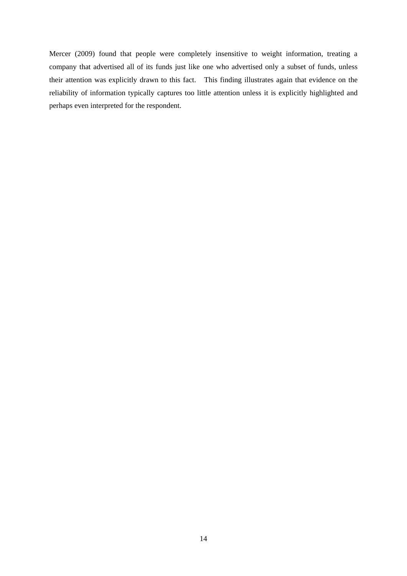Mercer (2009) found that people were completely insensitive to weight information, treating a company that advertised all of its funds just like one who advertised only a subset of funds, unless their attention was explicitly drawn to this fact. This finding illustrates again that evidence on the reliability of information typically captures too little attention unless it is explicitly highlighted and perhaps even interpreted for the respondent.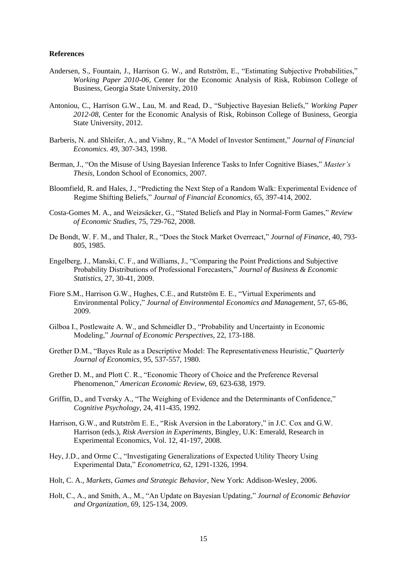## **References**

- Andersen, S., Fountain, J., Harrison G. W., and Rutström, E., "Estimating Subjective Probabilities," *Working Paper 2010-06*, Center for the Economic Analysis of Risk, Robinson College of Business, Georgia State University, 2010
- Antoniou, C., Harrison G.W., Lau, M. and Read, D., "Subjective Bayesian Beliefs," *Working Paper 2012-08*, Center for the Economic Analysis of Risk, Robinson College of Business, Georgia State University, 2012.
- Barberis, N. and Shleifer, A., and Vishny, R., "A Model of Investor Sentiment," *Journal of Financial Economics*. 49, 307-343, 1998.
- Berman, J., "On the Misuse of Using Bayesian Inference Tasks to Infer Cognitive Biases," *Master's Thesis,* London School of Economics*,* 2007.
- Bloomfield, R. and Hales, J., "Predicting the Next Step of a Random Walk: Experimental Evidence of Regime Shifting Beliefs," *Journal of Financial Economics,* 65, 397-414, 2002.
- Costa-Gomes M. A., and Weizsäcker, G., "Stated Beliefs and Play in Normal-Form Games," *Review of Economic Studies*, 75, 729-762, 2008.
- De Bondt, W. F. M., and Thaler, R., "Does the Stock Market Overreact," *Journal of Finance*, 40, 793- 805, 1985.
- Engelberg, J., Manski, C. F., and Williams, J., "Comparing the Point Predictions and Subjective Probability Distributions of Professional Forecasters," *Journal of Business & Economic Statistics*, 27, 30-41, 2009.
- Fiore S.M., Harrison G.W., Hughes, C.E., and Rutström E. E., "Virtual Experiments and Environmental Policy," *Journal of Environmental Economics and Management*, 57, 65-86, 2009.
- Gilboa I., Postlewaite A. W., and Schmeidler D., "Probability and Uncertainty in Economic Modeling," *Journal of Economic Perspectives*, 22, 173-188.
- Grether D.M., "Bayes Rule as a Descriptive Model: The Representativeness Heuristic," *Quarterly Journal of Economics*, 95, 537-557, 1980.
- Grether D. M., and Plott C. R., "Economic Theory of Choice and the Preference Reversal Phenomenon," *American Economic Review*, 69, 623-638, 1979.
- Griffin, D., and Tversky A., "The Weighing of Evidence and the Determinants of Confidence," *Cognitive Psychology*, 24, 411-435, 1992.
- Harrison, G.W., and Rutström E. E., "Risk Aversion in the Laboratory," in J.C. Cox and G.W. Harrison (eds.), *Risk Aversion in Experiments,* Bingley, U.K: Emerald, Research in Experimental Economics, Vol. 12, 41-197, 2008.
- Hey, J.D., and Orme C., "Investigating Generalizations of Expected Utility Theory Using Experimental Data," *Econometrica*, 62, 1291-1326, 1994.
- Holt, C. A., *Markets, Games and Strategic Behavior,* New York: Addison-Wesley, 2006.
- Holt, C., A., and Smith, A., M., "An Update on Bayesian Updating," *Journal of Economic Behavior and Organization*, 69, 125-134, 2009.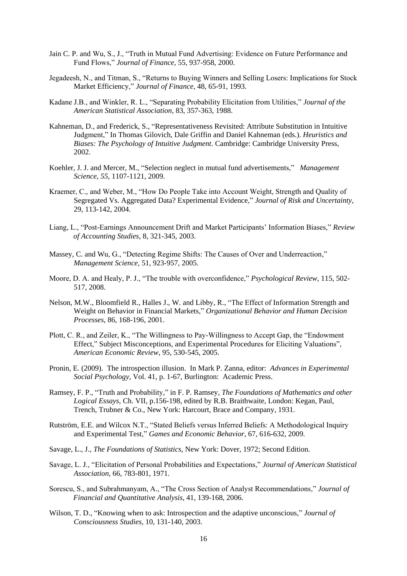- Jain C. P. and Wu, S., J., "Truth in Mutual Fund Advertising: Evidence on Future Performance and Fund Flows," *Journal of Finance,* 55, 937-958, 2000.
- Jegadeesh, N., and Titman, S., "Returns to Buying Winners and Selling Losers: Implications for Stock Market Efficiency," *Journal of Finance*, 48, 65-91, 1993.
- Kadane J.B., and Winkler, R. L., "Separating Probability Elicitation from Utilities," *Journal of the American Statistical Association*, 83, 357-363, 1988.
- Kahneman, D., and Frederick, S., "Representativeness Revisited: Attribute Substitution in Intuitive Judgment," In Thomas Gilovich, Dale Griffin and Daniel Kahneman (eds.). *Heuristics and Biases: The Psychology of Intuitive Judgment*. Cambridge: Cambridge University Press, 2002.
- Koehler, J. J. and Mercer, M., "Selection neglect in mutual fund advertisements," *Management Science, 55*, 1107-1121, 2009.
- Kraemer, C., and Weber, M., "How Do People Take into Account Weight, Strength and Quality of Segregated Vs. Aggregated Data? Experimental Evidence," *Journal of Risk and Uncertainty*, 29, 113-142, 2004.
- Liang, L., "Post-Earnings Announcement Drift and Market Participants' Information Biases," *Review of Accounting Studies*, 8, 321-345, 2003.
- Massey, C. and Wu, G., "Detecting Regime Shifts: The Causes of Over and Underreaction," *Management Science,* 51, 923-957, 2005.
- Moore, D. A. and Healy, P. J., "The trouble with overconfidence," *Psychological Review,* 115, 502- 517, 2008.
- Nelson, M.W., Bloomfield R., Halles J., W. and Libby, R., "The Effect of Information Strength and Weight on Behavior in Financial Markets," *Organizational Behavior and Human Decision Processes*, 86, 168-196, 2001.
- Plott, C. R., and Zeiler, K., "The Willingness to Pay-Willingness to Accept Gap, the "Endowment Effect," Subject Misconceptions, and Experimental Procedures for Eliciting Valuations", *American Economic Review*, 95, 530-545, 2005.
- Pronin, E. (2009). The introspection illusion. In Mark P. Zanna, editor: *Advances in Experimental Social Psychology*, Vol. 41, p. 1-67, Burlington: Academic Press.
- Ramsey, F. P., "Truth and Probability," in F. P. Ramsey, *The Foundations of Mathematics and other Logical Essays*, Ch. VII, p.156-198, edited by R.B. Braithwaite, London: Kegan, Paul, Trench, Trubner & Co., New York: Harcourt, Brace and Company, 1931.
- Rutström, E.E. and Wilcox N.T., "Stated Beliefs versus Inferred Beliefs: A Methodological Inquiry and Experimental Test," *Games and Economic Behavior*, 67, 616-632, 2009.
- Savage, L., J., *The Foundations of Statistics,* New York: Dover, 1972; Second Edition.
- Savage, L. J., "Elicitation of Personal Probabilities and Expectations," *Journal of American Statistical Association*, 66, 783-801, 1971.
- Sorescu, S., and Subrahmanyam, A., "The Cross Section of Analyst Recommendations," *Journal of Financial and Quantitative Analysis*, 41, 139-168, 2006.
- Wilson, T. D., "Knowing when to ask: Introspection and the adaptive unconscious," *Journal of Consciousness Studies*, 10, 131-140, 2003.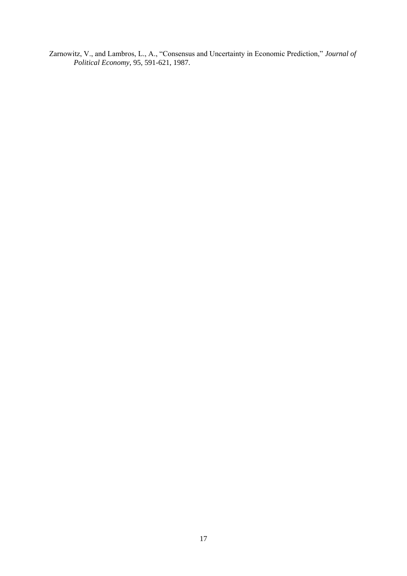Zarnowitz, V., and Lambros, L., A., "Consensus and Uncertainty in Economic Prediction," *Journal of Political Economy*, 95, 591-621, 1987.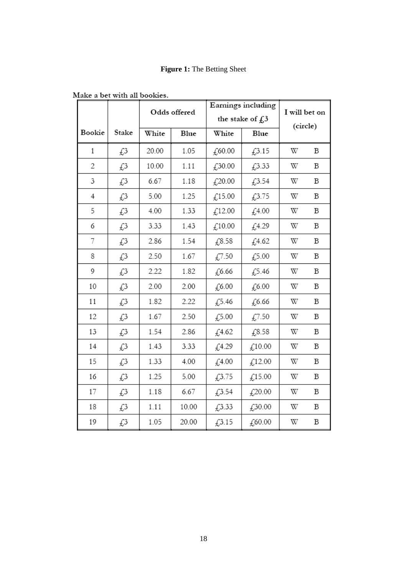**Figure 1:** The Betting Sheet

|                |       |       | Odds offered | Earnings including<br>the stake of $f_{1,3}$ | I will bet on |          |   |  |
|----------------|-------|-------|--------------|----------------------------------------------|---------------|----------|---|--|
| Bookie         | Stake | White | Blue         | White<br>Blue                                |               | (circle) |   |  |
| 1              | £З    | 20.00 | 1.05         | £,60.00                                      | £3.15         | W        | В |  |
| 2              | £3    | 10.00 | 1.11         | £,30.00                                      | £3.33         | W        | В |  |
| 3              | £3    | 6.67  | 1.18         | £,20.00                                      | £3.54         | W        | В |  |
| $\overline{4}$ | £3    | 5.00  | 1.25         | £,15.00                                      | £3.75         | W        | B |  |
| 5              | £3    | 4.00  | 1.33         | £12.00                                       | £4.00         | W        | В |  |
| 6              | £З    | 3.33  | 1.43         | £,10.00                                      | £4.29         | W        | В |  |
| 7              | £З    | 2.86  | 1.54         | £8.58                                        | £4.62         | W        | B |  |
| 8              | £3    | 2.50  | 1.67         | £7.50                                        | £5.00         | W        | B |  |
| 9              | £З    | 2.22  | 1.82         | £6.66                                        | £5.46         | W        | В |  |
| 10             | £3    | 2.00  | 2.00         | £6.00                                        | £6.00         | W        | В |  |
| 11             | £3    | 1.82  | 2.22         | £,5.46                                       | £6.66         | W        | B |  |
| 12             | £3    | 1.67  | 2.50         | £5.00                                        | £7.50         | W        | В |  |
| 13             | £3    | 1.54  | 2.86         | £4.62                                        | £8.58         | W        | B |  |
| 14             | £З    | 1.43  | 3.33         | £4.29                                        | £10.00        | W        | В |  |
| 15             | £3    | 1.33  | 4.00         | £4.00                                        | £12.00        | W        | B |  |
| 16             | £3    | 1.25  | 5.00         | £3.75                                        | £,15.00       | W        | В |  |
| 17             | £З    | 1.18  | 6.67         | £3.54                                        | £,20.00       | W        | В |  |
| 18             | £3    | 1.11  | 10.00        | $\sqrt{3.33}$                                | £30.00        | W        | B |  |
| 19             | £3    | 1.05  | 20.00        | £3.15                                        | £,60.00       | W        | B |  |

Make a bet with all bookies.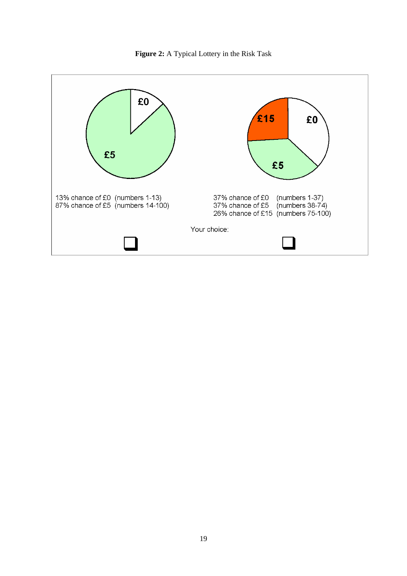

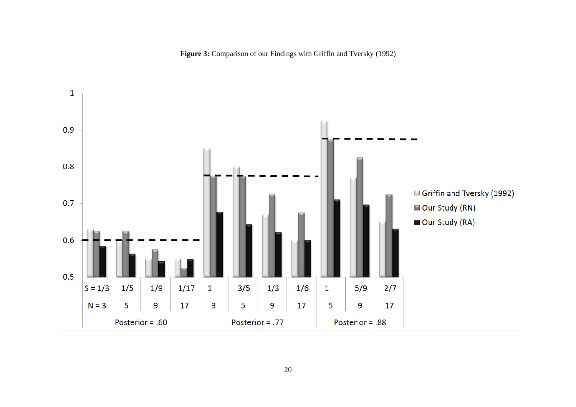Figure 3: Comparison of our Findings with Griffin and Tversky (1992)

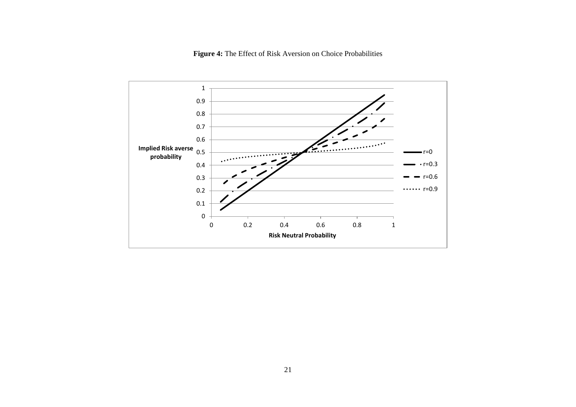**Figure 4:** The Effect of Risk Aversion on Choice Probabilities

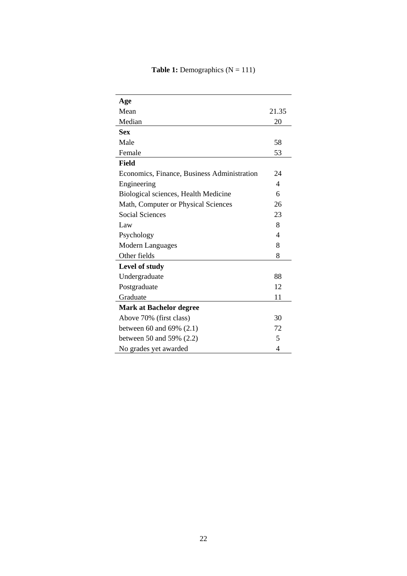| Age                                         |                |
|---------------------------------------------|----------------|
| Mean                                        | 21.35          |
| Median                                      | 20             |
| <b>Sex</b>                                  |                |
| Male                                        | 58             |
| Female                                      | 53             |
| <b>Field</b>                                |                |
| Economics, Finance, Business Administration | 24             |
| Engineering                                 | $\overline{4}$ |
| Biological sciences, Health Medicine        | 6              |
| Math, Computer or Physical Sciences         | 26             |
| <b>Social Sciences</b>                      | 23             |
| Law                                         | 8              |
| Psychology                                  | $\overline{4}$ |
| <b>Modern Languages</b>                     | 8              |
| Other fields                                | 8              |
| Level of study                              |                |
| Undergraduate                               | 88             |
| Postgraduate                                | 12             |
| Graduate                                    | 11             |
| <b>Mark at Bachelor degree</b>              |                |
| Above 70% (first class)                     | 30             |
| between 60 and 69% $(2.1)$                  | 72             |
| between 50 and 59% $(2.2)$                  | 5              |
| No grades yet awarded                       | 4              |

# **Table 1:** Demographics  $(N = 111)$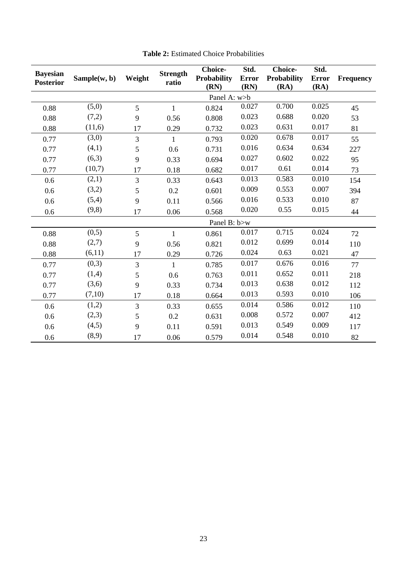| <b>Bayesian</b><br><b>Posterior</b> | Sample(w, b) | Weight         | <b>Strength</b><br>ratio | Choice-<br><b>Probability</b><br>(RN) | Std.<br><b>Error</b><br>(RN) | Choice-<br><b>Probability</b><br>(RA) | Std.<br><b>Error</b><br>(RA) | <b>Frequency</b> |
|-------------------------------------|--------------|----------------|--------------------------|---------------------------------------|------------------------------|---------------------------------------|------------------------------|------------------|
|                                     |              |                |                          | Panel A: w>b                          |                              |                                       |                              |                  |
| 0.88                                | (5,0)        | 5              | $\mathbf{1}$             | 0.824                                 | 0.027                        | 0.700                                 | 0.025                        | 45               |
| 0.88                                | (7,2)        | 9              | 0.56                     | 0.808                                 | 0.023                        | 0.688                                 | 0.020                        | 53               |
| 0.88                                | (11,6)       | 17             | 0.29                     | 0.732                                 | 0.023                        | 0.631                                 | 0.017                        | 81               |
| 0.77                                | (3,0)        | $\overline{3}$ | 1                        | 0.793                                 | 0.020                        | 0.678                                 | 0.017                        | 55               |
| 0.77                                | (4,1)        | 5              | 0.6                      | 0.731                                 | 0.016                        | 0.634                                 | 0.634                        | 227              |
| 0.77                                | (6,3)        | 9              | 0.33                     | 0.694                                 | 0.027                        | 0.602                                 | 0.022                        | 95               |
| 0.77                                | (10,7)       | 17             | 0.18                     | 0.682                                 | 0.017                        | 0.61                                  | 0.014                        | 73               |
| 0.6                                 | (2,1)        | 3              | 0.33                     | 0.643                                 | 0.013                        | 0.583                                 | 0.010                        | 154              |
| 0.6                                 | (3,2)        | 5              | 0.2                      | 0.601                                 | 0.009                        | 0.553                                 | 0.007                        | 394              |
| 0.6                                 | (5,4)        | 9              | 0.11                     | 0.566                                 | 0.016                        | 0.533                                 | 0.010                        | 87               |
| 0.6                                 | (9,8)        | 17             | 0.06                     | 0.568                                 | 0.020                        | 0.55                                  | 0.015                        | 44               |
|                                     |              |                |                          | Panel B: b>w                          |                              |                                       |                              |                  |
| 0.88                                | (0,5)        | 5              | $\mathbf{1}$             | 0.861                                 | 0.017                        | 0.715                                 | 0.024                        | 72               |
| 0.88                                | (2,7)        | 9              | 0.56                     | 0.821                                 | 0.012                        | 0.699                                 | 0.014                        | 110              |
| 0.88                                | (6,11)       | 17             | 0.29                     | 0.726                                 | 0.024                        | 0.63                                  | 0.021                        | 47               |
| 0.77                                | (0,3)        | $\overline{3}$ | $\mathbf{1}$             | 0.785                                 | 0.017                        | 0.676                                 | 0.016                        | 77               |
| 0.77                                | (1,4)        | 5              | 0.6                      | 0.763                                 | 0.011                        | 0.652                                 | 0.011                        | 218              |
| 0.77                                | (3,6)        | 9              | 0.33                     | 0.734                                 | 0.013                        | 0.638                                 | 0.012                        | 112              |
| 0.77                                | (7,10)       | 17             | 0.18                     | 0.664                                 | 0.013                        | 0.593                                 | 0.010                        | 106              |
| 0.6                                 | (1,2)        | $\overline{3}$ | 0.33                     | 0.655                                 | 0.014                        | 0.586                                 | 0.012                        | 110              |
| 0.6                                 | (2,3)        | 5              | 0.2                      | 0.631                                 | 0.008                        | 0.572                                 | 0.007                        | 412              |
| 0.6                                 | (4,5)        | 9              | 0.11                     | 0.591                                 | 0.013                        | 0.549                                 | 0.009                        | 117              |
| 0.6                                 | (8,9)        | 17             | 0.06                     | 0.579                                 | 0.014                        | 0.548                                 | 0.010                        | 82               |

**Table 2:** Estimated Choice Probabilities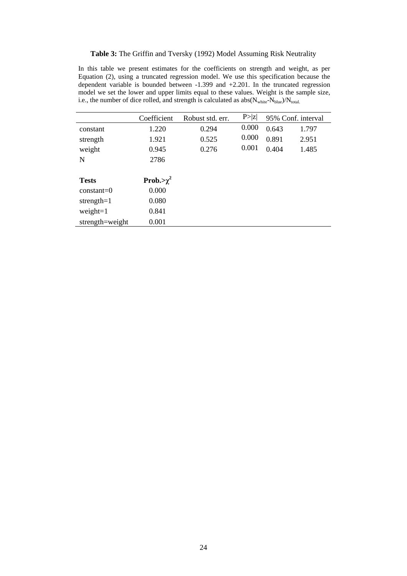# **Table 3:** The Griffin and Tversky (1992) Model Assuming Risk Neutrality

In this table we present estimates for the coefficients on strength and weight, as per Equation (2), using a truncated regression model. We use this specification because the dependent variable is bounded between -1.399 and +2.201. In the truncated regression model we set the lower and upper limits equal to these values. Weight is the sample size, i.e., the number of dice rolled, and strength is calculated as  $abs(N_{white} - N_{blue})/N_{total.}$ 

|                 | Coefficient            | Robust std. err. | P >  z |       | 95% Conf. interval |
|-----------------|------------------------|------------------|--------|-------|--------------------|
| constant        | 1.220                  | 0.294            | 0.000  | 0.643 | 1.797              |
| strength        | 1.921                  | 0.525            | 0.000  | 0.891 | 2.951              |
| weight          | 0.945                  | 0.276            | 0.001  | 0.404 | 1.485              |
| N               | 2786                   |                  |        |       |                    |
|                 |                        |                  |        |       |                    |
| <b>Tests</b>    | Prob. $\approx \chi^2$ |                  |        |       |                    |
| $constant=0$    | 0.000                  |                  |        |       |                    |
| strength= $1$   | 0.080                  |                  |        |       |                    |
| $weight=1$      | 0.841                  |                  |        |       |                    |
| strength=weight | 0.001                  |                  |        |       |                    |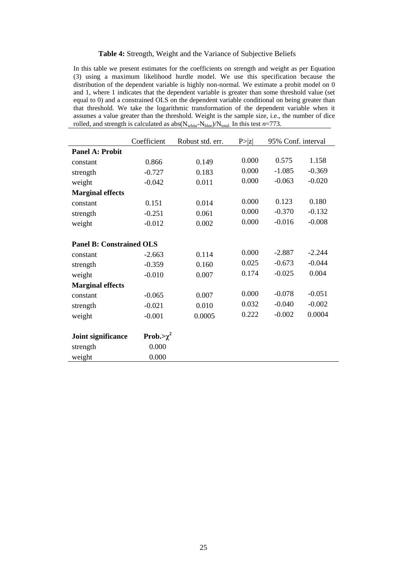## **Table 4:** Strength, Weight and the Variance of Subjective Beliefs

In this table we present estimates for the coefficients on strength and weight as per Equation (3) using a maximum likelihood hurdle model. We use this specification because the distribution of the dependent variable is highly non-normal. We estimate a probit model on 0 and 1, where 1 indicates that the dependent variable is greater than some threshold value (set equal to 0) and a constrained OLS on the dependent variable conditional on being greater than that threshold. We take the logarithmic transformation of the dependent variable when it assumes a value greater than the threshold. Weight is the sample size, i.e., the number of dice rolled, and strength is calculated as  $abs(N_{white} - N_{blue})/N_{total}$ . In this test *n*=773.

|                                 | Coefficient            | Robust std. err.<br>P >  z |       | 95% Conf. interval |          |
|---------------------------------|------------------------|----------------------------|-------|--------------------|----------|
| <b>Panel A: Probit</b>          |                        |                            |       |                    |          |
| constant                        | 0.866                  | 0.149                      | 0.000 | 0.575              | 1.158    |
| strength                        | $-0.727$               | 0.183                      | 0.000 | $-1.085$           | $-0.369$ |
| weight                          | $-0.042$               | 0.011                      | 0.000 | $-0.063$           | $-0.020$ |
| <b>Marginal effects</b>         |                        |                            |       |                    |          |
| constant                        | 0.151                  | 0.014                      | 0.000 | 0.123              | 0.180    |
| strength                        | $-0.251$               | 0.061                      | 0.000 | $-0.370$           | $-0.132$ |
| weight                          | $-0.012$               | 0.002                      | 0.000 | $-0.016$           | $-0.008$ |
|                                 |                        |                            |       |                    |          |
| <b>Panel B: Constrained OLS</b> |                        |                            |       |                    |          |
| constant                        | $-2.663$               | 0.114                      | 0.000 | $-2.887$           | $-2.244$ |
| strength                        | $-0.359$               | 0.160                      | 0.025 | $-0.673$           | $-0.044$ |
| weight                          | $-0.010$               | 0.007                      | 0.174 | $-0.025$           | 0.004    |
| <b>Marginal effects</b>         |                        |                            |       |                    |          |
| constant                        | $-0.065$               | 0.007                      | 0.000 | $-0.078$           | $-0.051$ |
| strength                        | $-0.021$               | 0.010                      | 0.032 | $-0.040$           | $-0.002$ |
| weight                          | $-0.001$               | 0.0005                     | 0.222 | $-0.002$           | 0.0004   |
|                                 |                        |                            |       |                    |          |
| Joint significance              | Prob. $\approx \chi^2$ |                            |       |                    |          |
| strength                        | 0.000                  |                            |       |                    |          |
| weight                          | 0.000                  |                            |       |                    |          |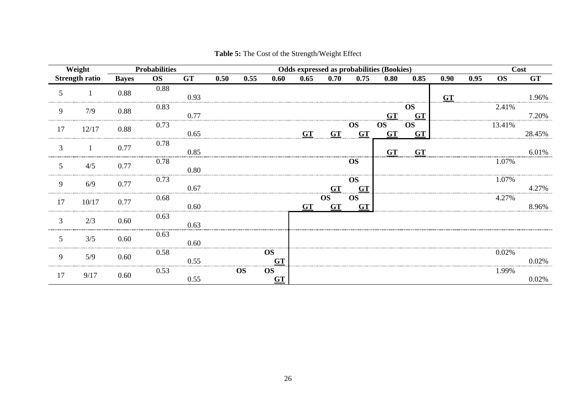|                 | Weight                |              | <b>Probabilities</b> |           |      | <b>Odds expressed as probabilities (Bookies)</b> |                      |           |                      |                        |                        | Cost                     |           |      |           |           |
|-----------------|-----------------------|--------------|----------------------|-----------|------|--------------------------------------------------|----------------------|-----------|----------------------|------------------------|------------------------|--------------------------|-----------|------|-----------|-----------|
|                 | <b>Strength ratio</b> | <b>Bayes</b> | <b>OS</b>            | <b>GT</b> | 0.50 | 0.55                                             | 0.60                 | 0.65      | 0.70                 | 0.75                   | 0.80                   | 0.85                     | 0.90      | 0.95 | <b>OS</b> | <b>GT</b> |
| 5               | $\mathbf{1}$          | 0.88         | 0.88                 | 0.93      |      |                                                  |                      |           |                      |                        |                        |                          | <b>GT</b> |      |           | 1.96%     |
| 9               | 7/9                   | 0.88         | 0.83                 | 0.77      |      |                                                  |                      |           |                      |                        | <b>GT</b>              | <b>OS</b><br>GT          |           |      | 2.41%     | 7.20%     |
| 17              | 12/17                 | 0.88         | 0.73                 | 0.65      |      |                                                  |                      | <b>GT</b> | <b>GT</b>            | <b>OS</b><br><b>GT</b> | <b>OS</b><br><b>GT</b> | <b>OS</b><br>$G_{\rm T}$ |           |      | 13.41%    | 28.45%    |
| $\overline{3}$  | $\mathbf{1}$          | 0.77         | 0.78                 | 0.85      |      |                                                  |                      |           |                      |                        | <b>GT</b>              | <b>GT</b>                |           |      |           | 6.01%     |
| $5\overline{)}$ | 4/5                   | 0.77         | 0.78                 | 0.80      |      |                                                  |                      |           |                      | <b>OS</b>              |                        |                          |           |      | 1.07%     |           |
| 9               | 6/9                   | 0.77         | 0.73                 | 0.67      |      |                                                  |                      |           | <b>GT</b>            | <b>OS</b><br><b>GT</b> |                        |                          |           |      | 1.07%     | 4.27%     |
| 17              | 10/17                 | 0.77         | 0.68                 | 0.60      |      |                                                  |                      | <b>GT</b> | <b>OS</b><br>$G_{1}$ | <b>OS</b><br>$G_{1}$   |                        |                          |           |      | 4.27%     | 8.96%     |
| $\overline{3}$  | 2/3                   | 0.60         | 0.63                 | 0.63      |      |                                                  |                      |           |                      |                        |                        |                          |           |      |           |           |
| $5\overline{)}$ | 3/5                   | 0.60         | 0.63                 | 0.60      |      |                                                  |                      |           |                      |                        |                        |                          |           |      |           |           |
| 9               | 5/9                   | 0.60         | 0.58                 | 0.55      |      |                                                  | <b>OS</b><br>G T     |           |                      |                        |                        |                          |           |      | 0.02%     | 0.02%     |
| 17              | 9/17                  | 0.60         | 0.53                 | 0.55      |      | <b>OS</b>                                        | <b>OS</b><br>$G_{1}$ |           |                      |                        |                        |                          |           |      | 1.99%     | 0.02%     |

# **Table 5:** The Cost of the Strength/Weight Effect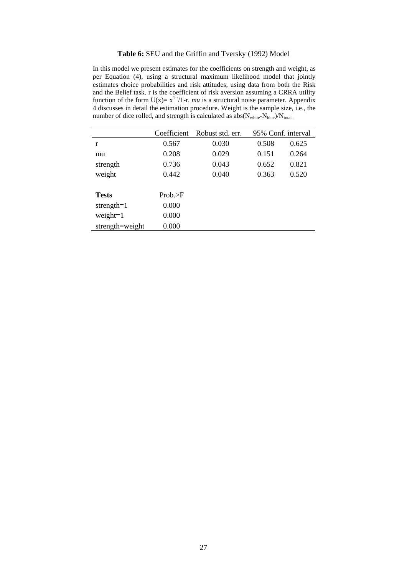# **Table 6:** SEU and the Griffin and Tversky (1992) Model

In this model we present estimates for the coefficients on strength and weight, as per Equation (4), using a structural maximum likelihood model that jointly estimates choice probabilities and risk attitudes, using data from both the Risk and the Belief task. r is the coefficient of risk aversion assuming a CRRA utility function of the form  $U(x) = x^{1-r}/1-r$ . *mu* is a structural noise parameter. Appendix 4 discusses in detail the estimation procedure. Weight is the sample size, i.e., the number of dice rolled, and strength is calculated as  $abs(N_{white} - N_{blue})/N_{total.}$ 

|                 | Coefficient | Robust std. err. | 95% Conf. interval |       |
|-----------------|-------------|------------------|--------------------|-------|
| r               | 0.567       | 0.030            | 0.508              | 0.625 |
| mu              | 0.208       | 0.029            | 0.151              | 0.264 |
| strength        | 0.736       | 0.043            | 0.652              | 0.821 |
| weight          | 0.442       | 0.040            | 0.363              | 0.520 |
|                 |             |                  |                    |       |
| <b>Tests</b>    | Prob. > F   |                  |                    |       |
| strength= $1$   | 0.000       |                  |                    |       |
| $weight=1$      | 0.000       |                  |                    |       |
| strength=weight | 0.000       |                  |                    |       |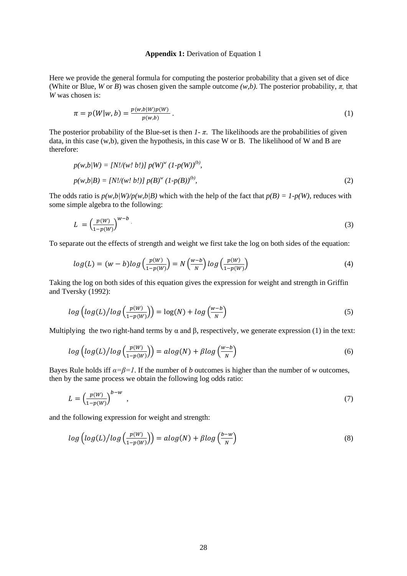#### **Appendix 1:** Derivation of Equation 1

Here we provide the general formula for computing the posterior probability that a given set of dice (White or Blue, *W* or *B*) was chosen given the sample outcome *(w,b).* The posterior probability, *π,* that *W* was chosen is:

$$
\pi = p(W|w, b) = \frac{p(w, b|W)p(W)}{p(w, b)}.
$$
\n(1)

The posterior probability of the Blue-set is then  $1 - \pi$ . The likelihoods are the probabilities of given data, in this case (w,b), given the hypothesis, in this case W or B. The likelihood of W and B are therefore:

$$
p(w,b|W) = [N!/(w! b!)] p(W)^{w} (1-p(W))^{(b)},
$$
  
\n
$$
p(w,b|B) = [N!/(w! b!)] p(B)^{w} (1-p(B))^{(b)},
$$
\n(2)

The odds ratio is  $p(w,b|W)/p(w,b|B)$  which with the help of the fact that  $p(B) = 1-p(W)$ , reduces with some simple algebra to the following:

$$
L = \left(\frac{p(W)}{1 - p(W)}\right)^{W - b}.
$$
\n<sup>(3)</sup>

To separate out the effects of strength and weight we first take the log on both sides of the equation:

$$
log(L) = (w - b)log\left(\frac{p(W)}{1 - p(W)}\right) = N\left(\frac{w - b}{N}\right)log\left(\frac{p(W)}{1 - p(W)}\right)
$$
\n(4)

Taking the log on both sides of this equation gives the expression for weight and strength in Griffin and Tversky (1992):

$$
log (log(L)/log(\frac{p(W)}{1-p(W)})) = log(N) + log(\frac{w-b}{N})
$$
\n(5)

Multiplying the two right-hand terms by  $\alpha$  and  $\beta$ , respectively, we generate expression (1) in the text:

$$
log (log(L)/log(\frac{p(W)}{1-p(W)})) = alog(N) + \beta log(\frac{w-b}{N})
$$
\n(6)

Bayes Rule holds iff  $\alpha = \beta = 1$ . If the number of *b* outcomes is higher than the number of *w* outcomes, then by the same process we obtain the following log odds ratio:

$$
L = \left(\frac{p(W)}{1 - p(W)}\right)^{b - W},\tag{7}
$$

and the following expression for weight and strength:

$$
log (log(L)/log(\frac{p(W)}{1-p(W)})) = alog(N) + \beta log(\frac{b-w}{N})
$$
\n(8)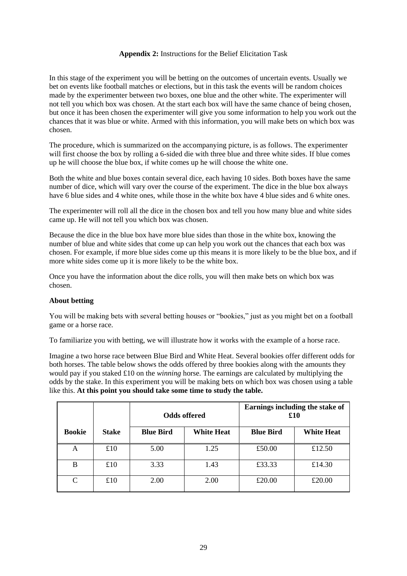## **Appendix 2:** Instructions for the Belief Elicitation Task

In this stage of the experiment you will be betting on the outcomes of uncertain events. Usually we bet on events like football matches or elections, but in this task the events will be random choices made by the experimenter between two boxes, one blue and the other white. The experimenter will not tell you which box was chosen. At the start each box will have the same chance of being chosen, but once it has been chosen the experimenter will give you some information to help you work out the chances that it was blue or white. Armed with this information, you will make bets on which box was chosen.

The procedure, which is summarized on the accompanying picture, is as follows. The experimenter will first choose the box by rolling a 6-sided die with three blue and three white sides. If blue comes up he will choose the blue box, if white comes up he will choose the white one.

Both the white and blue boxes contain several dice, each having 10 sides. Both boxes have the same number of dice, which will vary over the course of the experiment. The dice in the blue box always have 6 blue sides and 4 white ones, while those in the white box have 4 blue sides and 6 white ones.

The experimenter will roll all the dice in the chosen box and tell you how many blue and white sides came up. He will not tell you which box was chosen.

Because the dice in the blue box have more blue sides than those in the white box, knowing the number of blue and white sides that come up can help you work out the chances that each box was chosen. For example, if more blue sides come up this means it is more likely to be the blue box, and if more white sides come up it is more likely to be the white box.

Once you have the information about the dice rolls, you will then make bets on which box was chosen.

## **About betting**

You will be making bets with several betting houses or "bookies," just as you might bet on a football game or a horse race.

To familiarize you with betting, we will illustrate how it works with the example of a horse race.

Imagine a two horse race between Blue Bird and White Heat. Several bookies offer different odds for both horses. The table below shows the odds offered by three bookies along with the amounts they would pay if you staked £10 on the *winning* horse. The earnings are calculated by multiplying the odds by the stake. In this experiment you will be making bets on which box was chosen using a table like this. **At this point you should take some time to study the table.**

|               |              |                  | <b>Odds offered</b> |                  | Earnings including the stake of<br>$\pounds10$ |
|---------------|--------------|------------------|---------------------|------------------|------------------------------------------------|
| <b>Bookie</b> | <b>Stake</b> | <b>Blue Bird</b> | <b>White Heat</b>   | <b>Blue Bird</b> | <b>White Heat</b>                              |
| A             | £10          | 5.00             | 1.25                | £50.00           | £12.50                                         |
| B             | £10          | 3.33             | 1.43                | £33.33           | £14.30                                         |
| C             | £10          | 2.00             | 2.00                | £20.00           | £20.00                                         |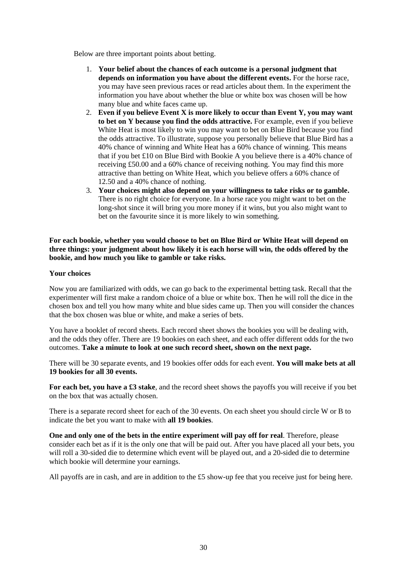Below are three important points about betting.

- 1. **Your belief about the chances of each outcome is a personal judgment that depends on information you have about the different events.** For the horse race, you may have seen previous races or read articles about them. In the experiment the information you have about whether the blue or white box was chosen will be how many blue and white faces came up.
- 2. **Even if you believe Event X is more likely to occur than Event Y, you may want to bet on Y because you find the odds attractive.** For example, even if you believe White Heat is most likely to win you may want to bet on Blue Bird because you find the odds attractive. To illustrate, suppose you personally believe that Blue Bird has a 40% chance of winning and White Heat has a 60% chance of winning. This means that if you bet £10 on Blue Bird with Bookie A you believe there is a 40% chance of receiving £50.00 and a 60% chance of receiving nothing. You may find this more attractive than betting on White Heat, which you believe offers a 60% chance of 12.50 and a 40% chance of nothing.
- 3. **Your choices might also depend on your willingness to take risks or to gamble.**  There is no right choice for everyone. In a horse race you might want to bet on the long-shot since it will bring you more money if it wins, but you also might want to bet on the favourite since it is more likely to win something.

**For each bookie, whether you would choose to bet on Blue Bird or White Heat will depend on three things: your judgment about how likely it is each horse will win, the odds offered by the bookie, and how much you like to gamble or take risks.**

## **Your choices**

Now you are familiarized with odds, we can go back to the experimental betting task. Recall that the experimenter will first make a random choice of a blue or white box. Then he will roll the dice in the chosen box and tell you how many white and blue sides came up. Then you will consider the chances that the box chosen was blue or white, and make a series of bets.

You have a booklet of record sheets. Each record sheet shows the bookies you will be dealing with, and the odds they offer. There are 19 bookies on each sheet, and each offer different odds for the two outcomes. **Take a minute to look at one such record sheet, shown on the next page.**

There will be 30 separate events, and 19 bookies offer odds for each event. **You will make bets at all 19 bookies for all 30 events.**

**For each bet, you have a £3 stake**, and the record sheet shows the payoffs you will receive if you bet on the box that was actually chosen.

There is a separate record sheet for each of the 30 events. On each sheet you should circle W or B to indicate the bet you want to make with **all 19 bookies**.

**One and only one of the bets in the entire experiment will pay off for real**. Therefore, please consider each bet as if it is the only one that will be paid out. After you have placed all your bets, you will roll a 30-sided die to determine which event will be played out, and a 20-sided die to determine which bookie will determine your earnings.

All payoffs are in cash, and are in addition to the £5 show-up fee that you receive just for being here.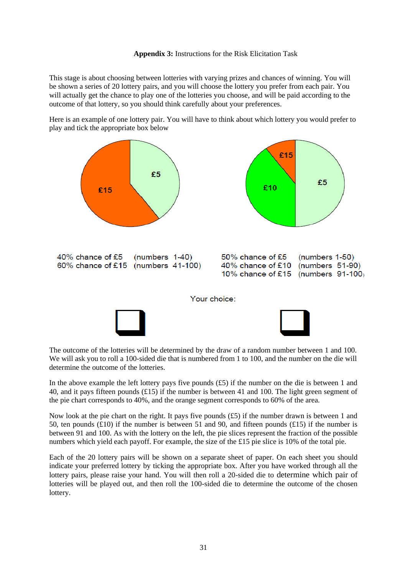## **Appendix 3:** Instructions for the Risk Elicitation Task

This stage is about choosing between lotteries with varying prizes and chances of winning. You will be shown a series of 20 lottery pairs, and you will choose the lottery you prefer from each pair. You will actually get the chance to play one of the lotteries you choose, and will be paid according to the outcome of that lottery, so you should think carefully about your preferences.

Here is an example of one lottery pair. You will have to think about which lottery you would prefer to play and tick the appropriate box below



The outcome of the lotteries will be determined by the draw of a random number between 1 and 100. We will ask you to roll a 100-sided die that is numbered from 1 to 100, and the number on the die will determine the outcome of the lotteries.

In the above example the left lottery pays five pounds  $(£5)$  if the number on the die is between 1 and 40, and it pays fifteen pounds (£15) if the number is between 41 and 100. The light green segment of the pie chart corresponds to 40%, and the orange segment corresponds to 60% of the area.

Now look at the pie chart on the right. It pays five pounds (£5) if the number drawn is between 1 and 50, ten pounds (£10) if the number is between 51 and 90, and fifteen pounds (£15) if the number is between 91 and 100. As with the lottery on the left, the pie slices represent the fraction of the possible numbers which yield each payoff. For example, the size of the £15 pie slice is 10% of the total pie.

Each of the 20 lottery pairs will be shown on a separate sheet of paper. On each sheet you should indicate your preferred lottery by ticking the appropriate box. After you have worked through all the lottery pairs, please raise your hand. You will then roll a 20-sided die to determine which pair of lotteries will be played out, and then roll the 100-sided die to determine the outcome of the chosen lottery.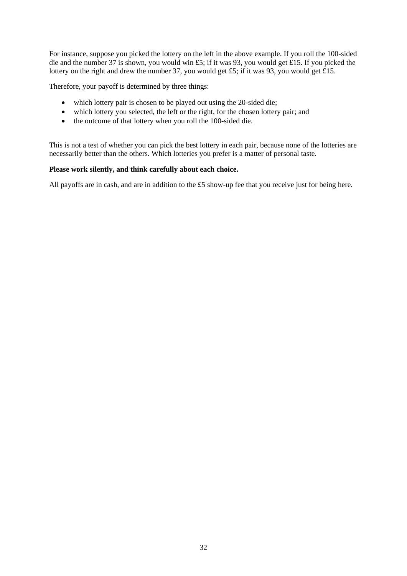For instance, suppose you picked the lottery on the left in the above example. If you roll the 100-sided die and the number 37 is shown, you would win £5; if it was 93, you would get £15. If you picked the lottery on the right and drew the number 37, you would get £5; if it was 93, you would get £15.

Therefore, your payoff is determined by three things:

- which lottery pair is chosen to be played out using the 20-sided die;
- which lottery you selected, the left or the right, for the chosen lottery pair; and
- the outcome of that lottery when you roll the 100-sided die.

This is not a test of whether you can pick the best lottery in each pair, because none of the lotteries are necessarily better than the others. Which lotteries you prefer is a matter of personal taste.

# **Please work silently, and think carefully about each choice.**

All payoffs are in cash, and are in addition to the £5 show-up fee that you receive just for being here.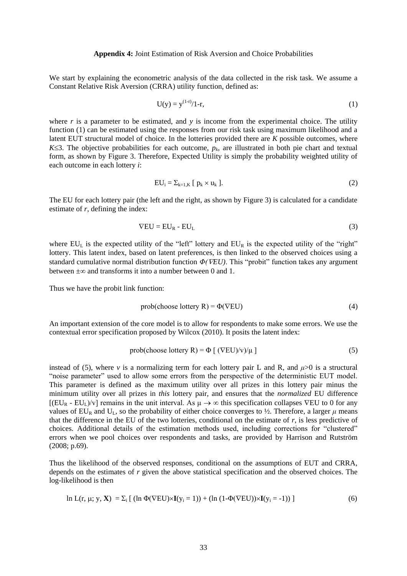#### **Appendix 4:** Joint Estimation of Risk Aversion and Choice Probabilities

We start by explaining the econometric analysis of the data collected in the risk task. We assume a Constant Relative Risk Aversion (CRRA) utility function, defined as:

$$
U(y) = y^{(1-r)}/1-r,
$$
 (1)

where  $r$  is a parameter to be estimated, and  $y$  is income from the experimental choice. The utility function (1) can be estimated using the responses from our risk task using maximum likelihood and a latent EUT structural model of choice. In the lotteries provided there are *K* possible outcomes, where *K* $\leq$ 3. The objective probabilities for each outcome,  $p_k$ , are illustrated in both pie chart and textual form, as shown by Figure 3. Therefore, Expected Utility is simply the probability weighted utility of each outcome in each lottery *i*:

$$
EU_i = \sum_{k=1,K} [p_k \times u_k]. \tag{2}
$$

The EU for each lottery pair (the left and the right, as shown by Figure 3) is calculated for a candidate estimate of *r*, defining the index:

$$
\nabla EU = EU_R - EU_L \tag{3}
$$

where  $EU_L$  is the expected utility of the "left" lottery and  $EU_R$  is the expected utility of the "right" lottery. This latent index, based on latent preferences, is then linked to the observed choices using a standard cumulative normal distribution function *Φ(EU)*. This "probit" function takes any argument between  $+\infty$  and transforms it into a number between 0 and 1.

Thus we have the probit link function:

$$
prob(choose lottery R) = \Phi(\nabla EU)
$$
 (4)

An important extension of the core model is to allow for respondents to make some errors. We use the contextual error specification proposed by Wilcox (2010). It posits the latent index:

$$
prob(choose lottery R) = \Phi [ (VEU)/v)/\mu ]
$$
 (5)

instead of (5), where *v* is a normalizing term for each lottery pair L and R, and  $\mu > 0$  is a structural "noise parameter" used to allow some errors from the perspective of the deterministic EUT model. This parameter is defined as the maximum utility over all prizes in this lottery pair minus the minimum utility over all prizes in *this* lottery pair, and ensures that the *normalized* EU difference  $[(EU_R - EU_L)/v]$  remains in the unit interval. As  $\mu \to \infty$  this specification collapses VEU to 0 for any values of  $EU_R$  and  $U_L$ , so the probability of either choice converges to  $\frac{1}{2}$ . Therefore, a larger  $\mu$  means that the difference in the EU of the two lotteries, conditional on the estimate of *r*, is less predictive of choices. Additional details of the estimation methods used, including corrections for "clustered" errors when we pool choices over respondents and tasks, are provided by Harrison and Rutström (2008; p.69).

Thus the likelihood of the observed responses, conditional on the assumptions of EUT and CRRA, depends on the estimates of *r* given the above statistical specification and the observed choices. The log-likelihood is then

$$
\ln L(r, \mu; y, \mathbf{X}) = \Sigma_i \left[ (\ln \Phi(\nabla EU) \times \mathbf{I}(y_i = 1)) + (\ln (1 - \Phi(\nabla EU)) \times \mathbf{I}(y_i = -1)) \right] \tag{6}
$$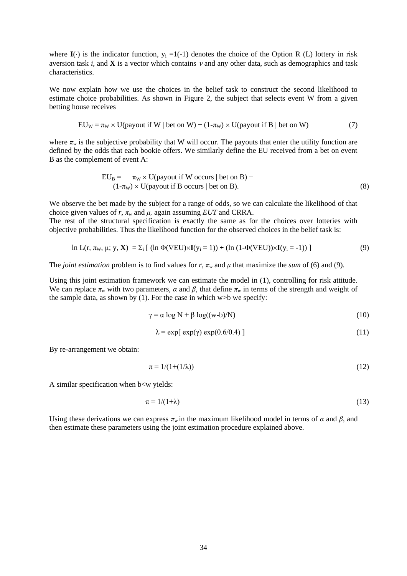where  $I(\cdot)$  is the indicator function,  $y_i = I(-1)$  denotes the choice of the Option R (L) lottery in risk aversion task  $i$ , and  $X$  is a vector which contains  $\nu$  and any other data, such as demographics and task characteristics.

We now explain how we use the choices in the belief task to construct the second likelihood to estimate choice probabilities. As shown in Figure 2, the subject that selects event W from a given betting house receives

$$
EU_W = \pi_W \times U(payout if W \mid bet on W) + (1 - \pi_W) \times U(payout if B \mid bet on W)
$$
 (7)

where  $\pi_w$  is the subjective probability that W will occur. The payouts that enter the utility function are defined by the odds that each bookie offers. We similarly define the EU received from a bet on event B as the complement of event A:

$$
EU_B = \pi_W \times U(payout if W occurs | bet on B) +(1-\pi_W) \times U(payout if B occurs | bet on B).
$$
 (8)

We observe the bet made by the subject for a range of odds, so we can calculate the likelihood of that choice given values of *r*,  $\pi_w$  and  $\mu$ , again assuming *EUT* and CRRA.

The rest of the structural specification is exactly the same as for the choices over lotteries with objective probabilities. Thus the likelihood function for the observed choices in the belief task is:

$$
\ln L(r, \pi_W, \mu; y, \mathbf{X}) = \sum_i \left[ (\ln \Phi(\nabla EU) \times \mathbf{I}(y_i = 1)) + (\ln (1 - \Phi(\nabla EU)) \times \mathbf{I}(y_i = -1)) \right] \tag{9}
$$

The *joint estimation* problem is to find values for *r*,  $\pi_w$  and  $\mu$  that maximize the *sum* of (6) and (9).

Using this joint estimation framework we can estimate the model in (1)*,* controlling for risk attitude. We can replace  $\pi_w$  with two parameters,  $\alpha$  and  $\beta$ , that define  $\pi_w$  in terms of the strength and weight of the sample data, as shown by (1). For the case in which  $w > b$  we specify:

$$
\gamma = \alpha \log N + \beta \log((w-b)/N) \tag{10}
$$

$$
\lambda = \exp[\exp(\gamma) \exp(0.6/0.4)] \tag{11}
$$

By re-arrangement we obtain:

$$
\pi = 1/(1 + (1/\lambda))\tag{12}
$$

A similar specification when b<w yields:

$$
\pi = 1/(1+\lambda) \tag{13}
$$

Using these derivations we can express  $\pi_w$  in the maximum likelihood model in terms of  $\alpha$  and  $\beta$ , and then estimate these parameters using the joint estimation procedure explained above.